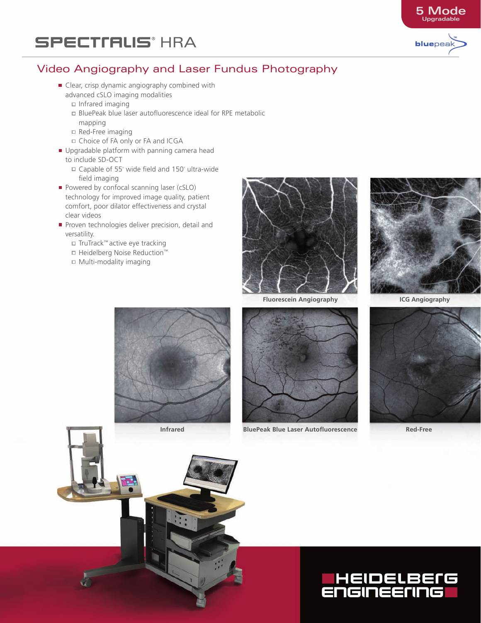# **SPECTTRUS**<sup>®</sup> HRA

## Video Angiography and Laser Fundus Photography

- **Clear, crisp dynamic angiography combined with** advanced cSLO imaging modalities
	- $\Box$  Infrared imaging
	- BluePeak blue laser autofluorescence ideal for RPE metabolic mapping
	- Red-Free imaging
	- Choice of FA only or FA and ICGA
- Upgradable platform with panning camera head
	- to include SD-OCT
- Capable of 55° wide field and 150° ultra-wide field imaging
	- Powered by confocal scanning laser (cSLO) technology for improved image quality, patient comfort, poor dilator effectiveness and crystal clear videos
	- Proven technologies deliver precision, detail and versatility.
		- TruTrack™ active eye tracking
		- Heidelberg Noise Reduction™
		- Multi-modality imaging



**Fluorescein Angiography ICG Angiography**



**Infrared BluePeak Blue Laser Autofluorescence Red-Free**